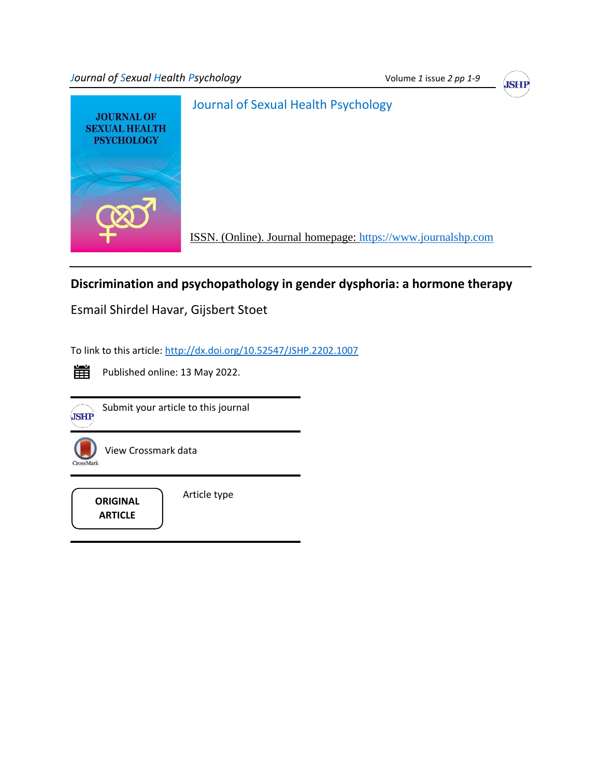*Journal of Sexual Health Psychology* **Volume 1** *issue 2 pp 1-9 Volume 1 issue 2 pp 1-9* 





# **Discrimination and psychopathology in gender dysphoria: a hormone therapy**

Esmail Shirdel Havar, Gijsbert Stoet

To link to this article:<http://dx.doi.org/10.52547/JSHP.2202.1007>



Published online: 13 May 2022.



Submityour article to this journal



View Crossmark data

**ARTICLE**

Article type **ORIGINAL**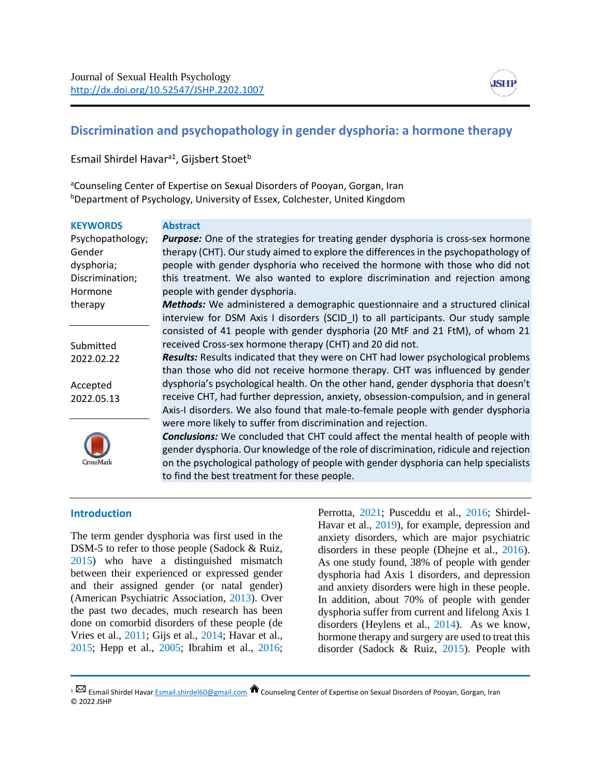

## **Discrimination and psychopathology in gender dysphoria: a hormone therapy**

Esmail Shirdel Havar<sup>a1</sup>, Gijsbert Stoet<sup>b</sup>

aCounseling Center of Expertise on Sexual Disorders of Pooyan, Gorgan, Iran **bDepartment of Psychology, University of Essex, Colchester, United Kingdom** 

| <b>KEYWORDS</b>  | <b>Abstract</b>                                                                          |
|------------------|------------------------------------------------------------------------------------------|
| Psychopathology; | <b>Purpose:</b> One of the strategies for treating gender dysphoria is cross-sex hormone |
| Gender           | therapy (CHT). Our study aimed to explore the differences in the psychopathology of      |
| dysphoria;       | people with gender dysphoria who received the hormone with those who did not             |
| Discrimination;  | this treatment. We also wanted to explore discrimination and rejection among             |
| Hormone          | people with gender dysphoria.                                                            |
| therapy          | Methods: We administered a demographic questionnaire and a structured clinical           |
|                  | interview for DSM Axis I disorders (SCID_I) to all participants. Our study sample        |
|                  | consisted of 41 people with gender dysphoria (20 MtF and 21 FtM), of whom 21             |
| Submitted        | received Cross-sex hormone therapy (CHT) and 20 did not.                                 |
| 2022.02.22       | <b>Results:</b> Results indicated that they were on CHT had lower psychological problems |
|                  | than those who did not receive hormone therapy. CHT was influenced by gender             |
| Accepted         | dysphoria's psychological health. On the other hand, gender dysphoria that doesn't       |
| 2022.05.13       | receive CHT, had further depression, anxiety, obsession-compulsion, and in general       |
|                  | Axis-I disorders. We also found that male-to-female people with gender dysphoria         |
|                  | were more likely to suffer from discrimination and rejection.                            |
|                  | <b>Conclusions:</b> We concluded that CHT could affect the mental health of people with  |
|                  | gender dysphoria. Our knowledge of the role of discrimination, ridicule and rejection    |
| CrossMark        | on the psychological pathology of people with gender dysphoria can help specialists      |

to find the best treatment for these people.

#### **Introduction**

The term gender dysphoria was first used in the DSM-5 to refer to those people (Sadock & Ruiz, 2015) who have a distinguished mismatch between their experienced or expressed gender and their assigned gender (or natal gender) (American Psychiatric Association, 2013). Over the past two decades, much research has been done on comorbid disorders of these people (de Vries et al., 2011; Gijs et al., 2014; Havar et al., 2015; Hepp et al., 2005; Ibrahim et al., 2016;

Perrotta, 2021; Pusceddu et al., 2016; Shirdel-Havar et al., 2019), for example, depression and anxiety disorders, which are major psychiatric disorders in these people (Dhejne et al., 2016). As one study found, 38% of people with gender dysphoria had Axis 1 disorders, and depression and anxiety disorders were high in these people. In addition, about 70% of people with gender dysphoria suffer from current and lifelong Axis 1 disorders (Heylens et al., 2014). As we know, hormone therapy and surgery are used to treat this disorder (Sadock & Ruiz, 2015). People with

 $1 \boxtimes$  Esmail Shirdel Hava[r Esmail.shirdel60@gmail.com](mailto:Esmail.shirdel60@gmail.com)  $\hat{\bullet}$  Counseling Center of Expertise on Sexual Disorders of Pooyan, Gorgan, Iran © 2022 JSHP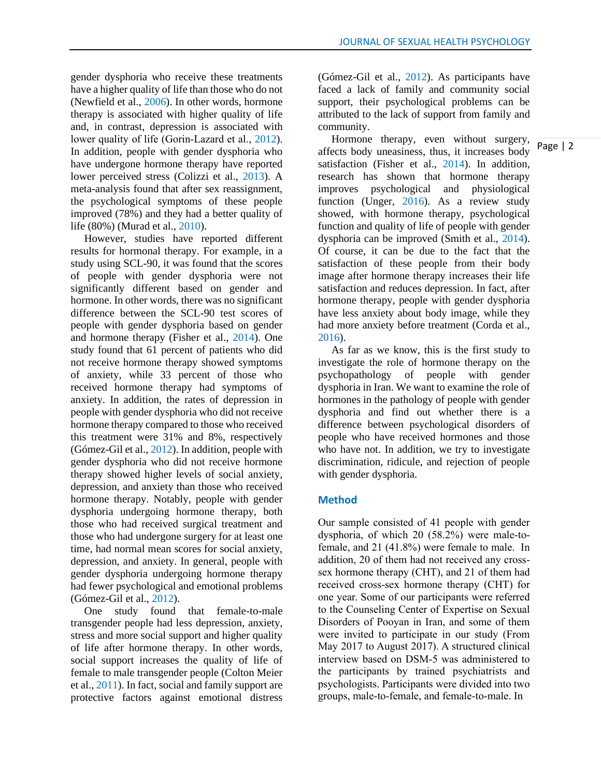gender dysphoria who receive these treatments have a higher quality of life than those who do not (Newfield et al., 2006). In other words, hormone therapy is associated with higher quality of life and, in contrast, depression is associated with lower quality of life (Gorin‐Lazard et al., 2012). In addition, people with gender dysphoria who have undergone hormone therapy have reported lower perceived stress (Colizzi et al., 2013). A meta-analysis found that after sex reassignment, the psychological symptoms of these people improved (78%) and they had a better quality of life (80%) (Murad et al., 2010).

 However, studies have reported different results for hormonal therapy. For example, in a study using SCL-90, it was found that the scores of people with gender dysphoria were not significantly different based on gender and hormone. In other words, there was no significant difference between the SCL-90 test scores of people with gender dysphoria based on gender and hormone therapy (Fisher et al., 2014). One study found that 61 percent of patients who did not receive hormone therapy showed symptoms of anxiety, while 33 percent of those who received hormone therapy had symptoms of anxiety. In addition, the rates of depression in people with gender dysphoria who did not receive hormone therapy compared to those who received this treatment were 31% and 8%, respectively (Gómez-Gil et al., 2012). In addition, people with gender dysphoria who did not receive hormone therapy showed higher levels of social anxiety, depression, and anxiety than those who received hormone therapy. Notably, people with gender dysphoria undergoing hormone therapy, both those who had received surgical treatment and those who had undergone surgery for at least one time, had normal mean scores for social anxiety, depression, and anxiety. In general, people with gender dysphoria undergoing hormone therapy had fewer psychological and emotional problems (Gómez-Gil et al., 2012).

 One study found that female-to-male transgender people had less depression, anxiety, stress and more social support and higher quality of life after hormone therapy. In other words, social support increases the quality of life of female to male transgender people (Colton Meier et al., 2011). In fact, social and family support are protective factors against emotional distress (Gómez-Gil et al., 2012). As participants have faced a lack of family and community social support, their psychological problems can be attributed to the lack of support from family and community.

 Hormone therapy, even without surgery, affects body uneasiness, thus, it increases body satisfaction (Fisher et al., 2014). In addition, research has shown that hormone therapy improves psychological and physiological function (Unger, 2016). As a review study showed, with hormone therapy, psychological function and quality of life of people with gender dysphoria can be improved (Smith et al., 2014). Of course, it can be due to the fact that the satisfaction of these people from their body image after hormone therapy increases their life satisfaction and reduces depression. In fact, after hormone therapy, people with gender dysphoria have less anxiety about body image, while they had more anxiety before treatment (Corda et al., 2016).

 As far as we know, this is the first study to investigate the role of hormone therapy on the psychopathology of people with gender dysphoria in Iran. We want to examine the role of hormones in the pathology of people with gender dysphoria and find out whether there is a difference between psychological disorders of people who have received hormones and those who have not. In addition, we try to investigate discrimination, ridicule, and rejection of people with gender dysphoria.

#### **Method**

Our sample consisted of 41 people with gender dysphoria, of which 20 (58.2%) were male-tofemale, and 21 (41.8%) were female to male. In addition, 20 of them had not received any crosssex hormone therapy (CHT), and 21 of them had received cross-sex hormone therapy (CHT) for one year. Some of our participants were referred to the Counseling Center of Expertise on Sexual Disorders of Pooyan in Iran, and some of them were invited to participate in our study (From May 2017 to August 2017). A structured clinical interview based on DSM-5 was administered to the participants by trained psychiatrists and psychologists. Participants were divided into two groups, male-to-female, and female-to-male. In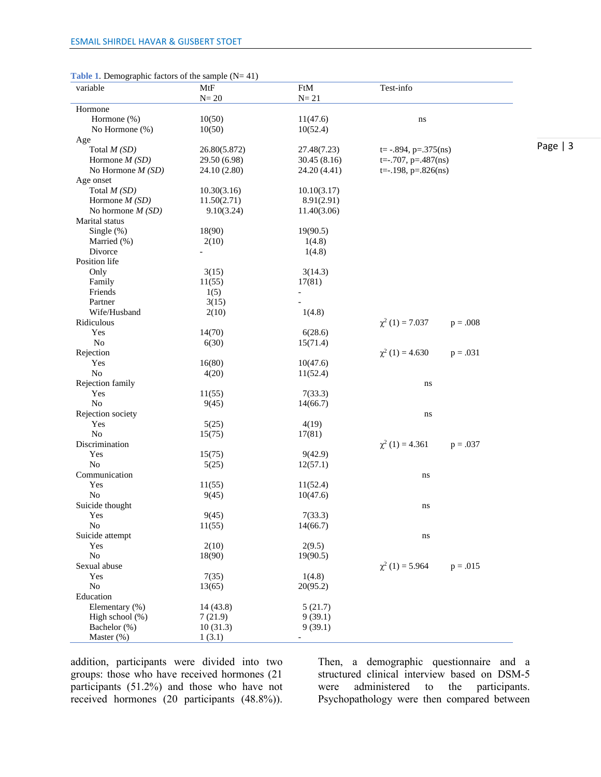| <b>Table 1.</b> Demographic factors of the sample $(N=41)$ |  |  |
|------------------------------------------------------------|--|--|
|                                                            |  |  |

| variable           | MtF          | FtM          | Test-info                     |            |           |
|--------------------|--------------|--------------|-------------------------------|------------|-----------|
|                    | $N = 20$     | $N = 21$     |                               |            |           |
| Hormone            |              |              |                               |            |           |
| Hormone (%)        | 10(50)       | 11(47.6)     | ns                            |            |           |
| No Hormone (%)     | 10(50)       | 10(52.4)     |                               |            |           |
| Age                |              |              |                               |            |           |
| Total $M(SD)$      | 26.80(5.872) | 27.48(7.23)  | $t = -.894$ , $p = .375$ (ns) |            | Page $ 3$ |
| Hormone $M(SD)$    | 29.50 (6.98) | 30.45(8.16)  | $t=-.707$ , $p=.487(ns)$      |            |           |
| No Hormone $M(SD)$ | 24.10 (2.80) | 24.20 (4.41) | $t=-.198$ , $p=.826(ns)$      |            |           |
| Age onset          |              |              |                               |            |           |
| Total $M(SD)$      | 10.30(3.16)  | 10.10(3.17)  |                               |            |           |
| Hormone $M(SD)$    | 11.50(2.71)  | 8.91(2.91)   |                               |            |           |
| No hormone $M(SD)$ | 9.10(3.24)   | 11.40(3.06)  |                               |            |           |
| Marital status     |              |              |                               |            |           |
| Single $(\%)$      | 18(90)       | 19(90.5)     |                               |            |           |
| Married (%)        | 2(10)        | 1(4.8)       |                               |            |           |
| Divorce            |              | 1(4.8)       |                               |            |           |
| Position life      |              |              |                               |            |           |
| Only               | 3(15)        | 3(14.3)      |                               |            |           |
| Family             | 11(55)       | 17(81)       |                               |            |           |
| Friends            | 1(5)         |              |                               |            |           |
| Partner            | 3(15)        |              |                               |            |           |
| Wife/Husband       | 2(10)        | 1(4.8)       |                               |            |           |
| Ridiculous         |              |              | $\chi^2(1) = 7.037$           | $p = .008$ |           |
| Yes                | 14(70)       | 6(28.6)      |                               |            |           |
| N <sub>o</sub>     | 6(30)        | 15(71.4)     |                               |            |           |
| Rejection          |              |              | $\chi^2(1) = 4.630$           | $p = .031$ |           |
| Yes                | 16(80)       | 10(47.6)     |                               |            |           |
| N <sub>0</sub>     | 4(20)        | 11(52.4)     |                               |            |           |
| Rejection family   |              |              | ns                            |            |           |
| Yes                | 11(55)       | 7(33.3)      |                               |            |           |
| No                 | 9(45)        | 14(66.7)     |                               |            |           |
| Rejection society  |              |              | ns                            |            |           |
| Yes                | 5(25)        | 4(19)        |                               |            |           |
| $\rm No$           | 15(75)       | 17(81)       |                               |            |           |
| Discrimination     |              |              | $\chi^2(1) = 4.361$           | $p = .037$ |           |
| Yes                | 15(75)       | 9(42.9)      |                               |            |           |
| No                 | 5(25)        | 12(57.1)     |                               |            |           |
| Communication      |              |              | ns                            |            |           |
| Yes                | 11(55)       | 11(52.4)     |                               |            |           |
| No                 | 9(45)        | 10(47.6)     |                               |            |           |
| Suicide thought    |              |              | ns                            |            |           |
| Yes                | 9(45)        | 7(33.3)      |                               |            |           |
| No                 | 11(55)       | 14(66.7)     |                               |            |           |
| Suicide attempt    |              |              | ns                            |            |           |
| Yes                | 2(10)        | 2(9.5)       |                               |            |           |
| No                 | 18(90)       | 19(90.5)     |                               |            |           |
| Sexual abuse       |              |              | $\chi^2(1) = 5.964$           | $p = .015$ |           |
| Yes                | 7(35)        | 1(4.8)       |                               |            |           |
| No                 | 13(65)       | 20(95.2)     |                               |            |           |
| Education          |              |              |                               |            |           |
| Elementary (%)     | 14(43.8)     | 5(21.7)      |                               |            |           |
| High school (%)    | 7(21.9)      | 9(39.1)      |                               |            |           |
| Bachelor (%)       | 10(31.3)     | 9(39.1)      |                               |            |           |
| Master (%)         | 1(3.1)       |              |                               |            |           |

addition, participants were divided into two groups: those who have received hormones (21 participants (51.2%) and those who have not received hormones (20 participants (48.8%)).

Then, a demographic questionnaire and a structured clinical interview based on DSM-5<br>were administered to the participants. were administered to Psychopathology were then compared between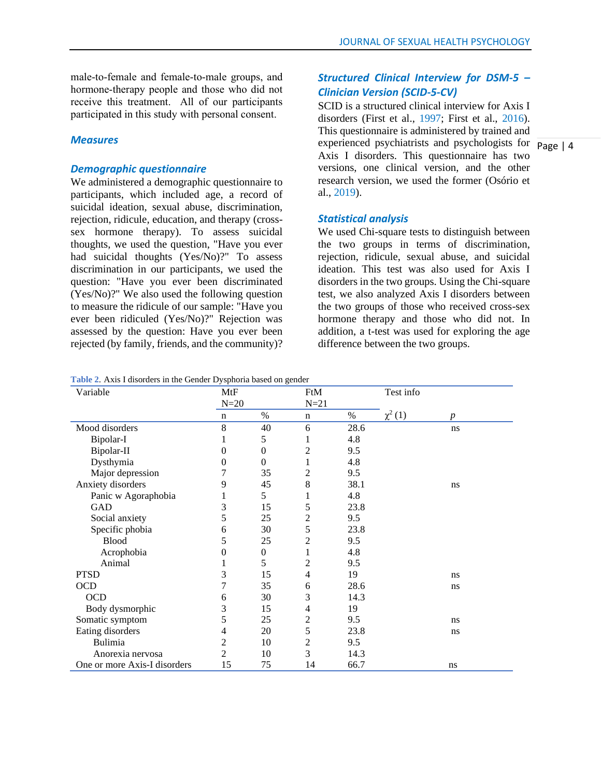male-to-female and female-to-male groups, and hormone-therapy people and those who did not receive this treatment. All of our participants participated in this study with personal consent.

### *Measures*

## *Demographic questionnaire*

We administered a demographic questionnaire to participants, which included age, a record of suicidal ideation, sexual abuse, discrimination, rejection, ridicule, education, and therapy (crosssex hormone therapy). To assess suicidal thoughts, we used the question, "Have you ever had suicidal thoughts (Yes/No)?" To assess discrimination in our participants, we used the question: "Have you ever been discriminated (Yes/No)?" We also used the following question to measure the ridicule of our sample: "Have you ever been ridiculed (Yes/No)?" Rejection was assessed by the question: Have you ever been rejected (by family, friends, and the community)?

## *Structured Clinical Interview for DSM-5 – Clinician Version (SCID-5-CV)*

experienced psychiatrists and psychologists for  $\overline{Page \mid 4}$ SCID is a structured clinical interview for Axis I disorders (First et al., 1997; First et al., 2016). This questionnaire is administered by trained and Axis I disorders. This questionnaire has two versions, one clinical version, and the other research version, we used the former (Osório et al., 2019).

#### *Statistical analysis*

We used Chi-square tests to distinguish between the two groups in terms of discrimination, rejection, ridicule, sexual abuse, and suicidal ideation. This test was also used for Axis I disorders in the two groups. Using the Chi-square test, we also analyzed Axis I disorders between the two groups of those who received cross-sex hormone therapy and those who did not. In addition, a t-test was used for exploring the age difference between the two groups.

|  |  | Table 2. Axis I disorders in the Gender Dysphoria based on gender |  |  |  |  |  |
|--|--|-------------------------------------------------------------------|--|--|--|--|--|
|  |  |                                                                   |  |  |  |  |  |

| Variable                     | MtF            |                  | FtM            |      | Test info   |                  |  |
|------------------------------|----------------|------------------|----------------|------|-------------|------------------|--|
|                              | $N=20$         |                  | $N=21$         |      |             |                  |  |
|                              | n              | $\%$             | n              | $\%$ | $\chi^2(1)$ | $\boldsymbol{p}$ |  |
| Mood disorders               | 8              | 40               | 6              | 28.6 |             | ns               |  |
| Bipolar-I                    | 1              | 5                | 1              | 4.8  |             |                  |  |
| Bipolar-II                   | $\overline{0}$ | $\mathbf{0}$     | $\overline{c}$ | 9.5  |             |                  |  |
| Dysthymia                    | 0              | $\mathbf{0}$     | 1              | 4.8  |             |                  |  |
| Major depression             | 7              | 35               | 2              | 9.5  |             |                  |  |
| Anxiety disorders            | 9              | 45               | 8              | 38.1 |             | ns               |  |
| Panic w Agoraphobia          |                | 5                | 1              | 4.8  |             |                  |  |
| GAD                          | 3              | 15               | 5              | 23.8 |             |                  |  |
| Social anxiety               | 5              | 25               | $\overline{c}$ | 9.5  |             |                  |  |
| Specific phobia              | 6              | 30               | 5              | 23.8 |             |                  |  |
| <b>Blood</b>                 | 5              | 25               | $\overline{2}$ | 9.5  |             |                  |  |
| Acrophobia                   | 0              | $\boldsymbol{0}$ | 1              | 4.8  |             |                  |  |
| Animal                       |                | 5                | 2              | 9.5  |             |                  |  |
| <b>PTSD</b>                  | 3              | 15               | 4              | 19   |             | ns               |  |
| <b>OCD</b>                   | 7              | 35               | 6              | 28.6 |             | ns               |  |
| <b>OCD</b>                   | 6              | 30               | 3              | 14.3 |             |                  |  |
| Body dysmorphic              | 3              | 15               | 4              | 19   |             |                  |  |
| Somatic symptom              | 5              | 25               | $\overline{c}$ | 9.5  |             | ns               |  |
| Eating disorders             | 4              | 20               | 5              | 23.8 |             | ns               |  |
| Bulimia                      | 2              | 10               | $\overline{c}$ | 9.5  |             |                  |  |
| Anorexia nervosa             | $\overline{c}$ | 10               | 3              | 14.3 |             |                  |  |
| One or more Axis-I disorders | 15             | 75               | 14             | 66.7 |             | ns               |  |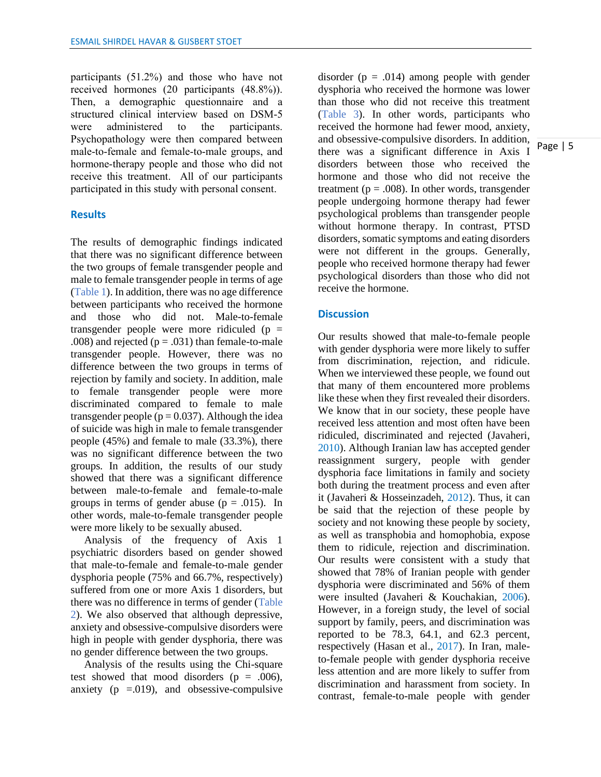participants (51.2%) and those who have not received hormones (20 participants (48.8%)). Then, a demographic questionnaire and a structured clinical interview based on DSM-5 were administered to the participants. Psychopathology were then compared between male-to-female and female-to-male groups, and hormone-therapy people and those who did not receive this treatment. All of our participants participated in this study with personal consent.

#### **Results**

The results of demographic findings indicated that there was no significant difference between the two groups of female transgender people and male to female transgender people in terms of age (Table 1). In addition, there was no age difference between participants who received the hormone and those who did not. Male-to-female transgender people were more ridiculed  $(p =$ .008) and rejected  $(p = .031)$  than female-to-male transgender people. However, there was no difference between the two groups in terms of rejection by family and society. In addition, male to female transgender people were more discriminated compared to female to male transgender people ( $p = 0.037$ ). Although the idea of suicide was high in male to female transgender people (45%) and female to male (33.3%), there was no significant difference between the two groups. In addition, the results of our study showed that there was a significant difference between male-to-female and female-to-male groups in terms of gender abuse ( $p = .015$ ). In other words, male-to-female transgender people were more likely to be sexually abused.

 Analysis of the frequency of Axis 1 psychiatric disorders based on gender showed that male-to-female and female-to-male gender dysphoria people (75% and 66.7%, respectively) suffered from one or more Axis 1 disorders, but there was no difference in terms of gender (Table 2). We also observed that although depressive, anxiety and obsessive-compulsive disorders were high in people with gender dysphoria, there was no gender difference between the two groups.

 Analysis of the results using the Chi-square test showed that mood disorders  $(p = .006)$ , anxiety ( $p = 0.019$ ), and obsessive-compulsive

disorder ( $p = .014$ ) among people with gender dysphoria who received the hormone was lower than those who did not receive this treatment (Table 3). In other words, participants who received the hormone had fewer mood, anxiety, and obsessive-compulsive disorders. In addition, there was a significant difference in Axis I disorders between those who received the hormone and those who did not receive the treatment ( $p = .008$ ). In other words, transgender people undergoing hormone therapy had fewer psychological problems than transgender people without hormone therapy. In contrast, PTSD disorders, somatic symptoms and eating disorders were not different in the groups. Generally, people who received hormone therapy had fewer psychological disorders than those who did not receive the hormone.

## **Discussion**

Our results showed that male-to-female people with gender dysphoria were more likely to suffer from discrimination, rejection, and ridicule. When we interviewed these people, we found out that many of them encountered more problems like these when they first revealed their disorders. We know that in our society, these people have received less attention and most often have been ridiculed, discriminated and rejected (Javaheri, 2010). Although Iranian law has accepted gender reassignment surgery, people with gender dysphoria face limitations in family and society both during the treatment process and even after it (Javaheri & Hosseinzadeh, 2012). Thus, it can be said that the rejection of these people by society and not knowing these people by society, as well as transphobia and homophobia, expose them to ridicule, rejection and discrimination. Our results were consistent with a study that showed that 78% of Iranian people with gender dysphoria were discriminated and 56% of them were insulted (Javaheri & Kouchakian, 2006). However, in a foreign study, the level of social support by family, peers, and discrimination was reported to be 78.3, 64.1, and 62.3 percent, respectively (Hasan et al., 2017). In Iran, maleto-female people with gender dysphoria receive less attention and are more likely to suffer from discrimination and harassment from society. In contrast, female-to-male people with gender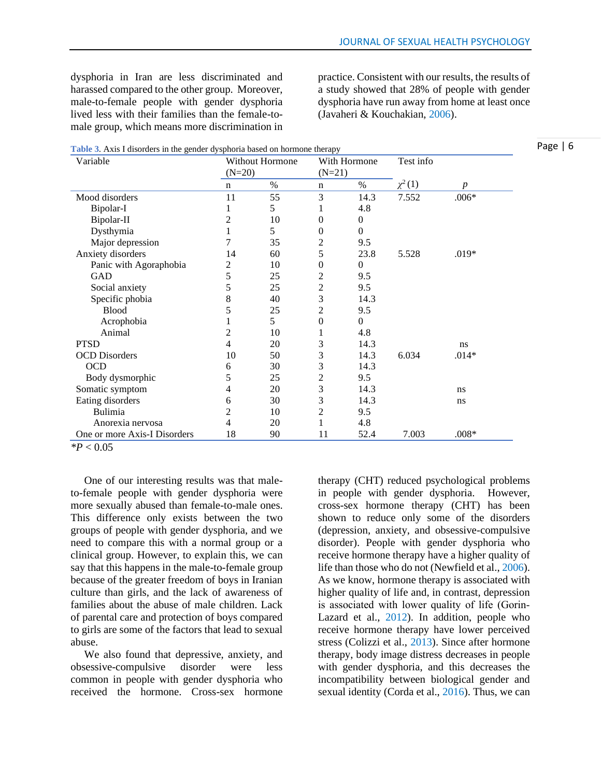dysphoria in Iran are less discriminated and harassed compared to the other group. Moreover, male-to-female people with gender dysphoria lived less with their families than the female-tomale group, which means more discrimination in

practice. Consistent with our results, the results of a study showed that 28% of people with gender dysphoria have run away from home at least once (Javaheri & Kouchakian, 2006).

|  |  |  |  |  | Table 3. Axis I disorders in the gender dysphoria based on hormone therapy |  |
|--|--|--|--|--|----------------------------------------------------------------------------|--|
|  |  |  |  |  |                                                                            |  |

| Variable                     | <b>Without Hormone</b><br>$(N=20)$ |      | With Hormone<br>$(N=21)$ |                  | Test info   |                  |
|------------------------------|------------------------------------|------|--------------------------|------------------|-------------|------------------|
|                              | $\mathbf n$                        | $\%$ | n                        | $\%$             | $\chi^2(1)$ | $\boldsymbol{p}$ |
| Mood disorders               | 11                                 | 55   | 3                        | 14.3             | 7.552       | $.006*$          |
| Bipolar-I                    | 1                                  | 5    | 1                        | 4.8              |             |                  |
| Bipolar-II                   | 2                                  | 10   | $\boldsymbol{0}$         | $\theta$         |             |                  |
| Dysthymia                    | 1                                  | 5    | 0                        | $\theta$         |             |                  |
| Major depression             | 7                                  | 35   | $\overline{c}$           | 9.5              |             |                  |
| Anxiety disorders            | 14                                 | 60   | 5                        | 23.8             | 5.528       | $.019*$          |
| Panic with Agoraphobia       | 2                                  | 10   | $\boldsymbol{0}$         | $\boldsymbol{0}$ |             |                  |
| <b>GAD</b>                   | 5                                  | 25   | $\overline{c}$           | 9.5              |             |                  |
| Social anxiety               | 5                                  | 25   | $\overline{c}$           | 9.5              |             |                  |
| Specific phobia              | 8                                  | 40   | 3                        | 14.3             |             |                  |
| <b>Blood</b>                 | 5                                  | 25   | $\overline{c}$           | 9.5              |             |                  |
| Acrophobia                   |                                    | 5    | $\boldsymbol{0}$         | $\boldsymbol{0}$ |             |                  |
| Animal                       | 2                                  | 10   | 1                        | 4.8              |             |                  |
| <b>PTSD</b>                  | 4                                  | 20   | 3                        | 14.3             |             | ns               |
| <b>OCD</b> Disorders         | 10                                 | 50   | 3                        | 14.3             | 6.034       | $.014*$          |
| <b>OCD</b>                   | 6                                  | 30   | 3                        | 14.3             |             |                  |
| Body dysmorphic              | 5                                  | 25   | $\overline{c}$           | 9.5              |             |                  |
| Somatic symptom              | 4                                  | 20   | 3                        | 14.3             |             | ns               |
| Eating disorders             | 6                                  | 30   | 3                        | 14.3             |             | ns               |
| Bulimia                      | 2                                  | 10   | $\overline{c}$           | 9.5              |             |                  |
| Anorexia nervosa             | 4                                  | 20   |                          | 4.8              |             |                  |
| One or more Axis-I Disorders | 18                                 | 90   | 11                       | 52.4             | 7.003       | $.008*$          |

*\*P* < 0.05

 One of our interesting results was that maleto-female people with gender dysphoria were more sexually abused than female-to-male ones. This difference only exists between the two groups of people with gender dysphoria, and we need to compare this with a normal group or a clinical group. However, to explain this, we can say that this happens in the male-to-female group because of the greater freedom of boys in Iranian culture than girls, and the lack of awareness of families about the abuse of male children. Lack of parental care and protection of boys compared to girls are some of the factors that lead to sexual abuse.

 We also found that depressive, anxiety, and obsessive-compulsive disorder were less common in people with gender dysphoria who received the hormone. Cross-sex hormone therapy (CHT) reduced psychological problems in people with gender dysphoria. However, cross-sex hormone therapy (CHT) has been shown to reduce only some of the disorders (depression, anxiety, and obsessive-compulsive disorder). People with gender dysphoria who receive hormone therapy have a higher quality of life than those who do not (Newfield et al., 2006). As we know, hormone therapy is associated with higher quality of life and, in contrast, depression is associated with lower quality of life (Gorin‐ Lazard et al., 2012). In addition, people who receive hormone therapy have lower perceived stress (Colizzi et al., 2013). Since after hormone therapy, body image distress decreases in people with gender dysphoria, and this decreases the incompatibility between biological gender and sexual identity (Corda et al., 2016). Thus, we can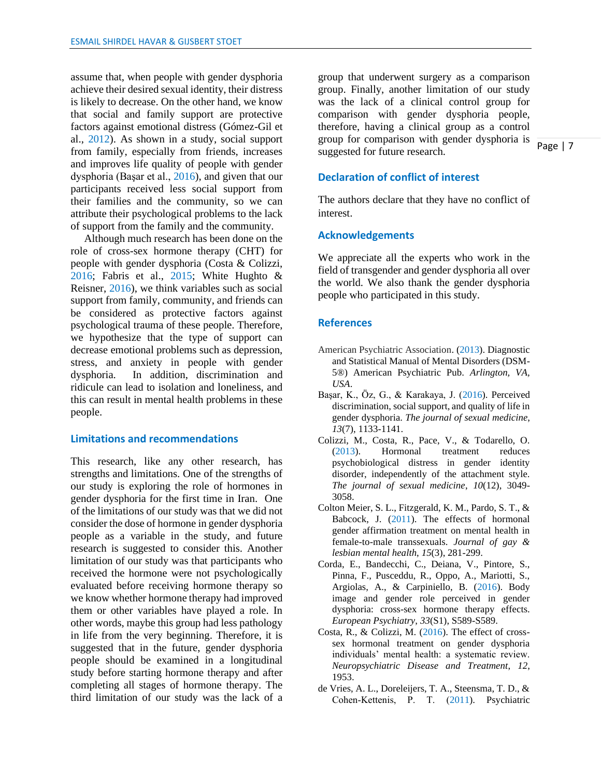assume that, when people with gender dysphoria achieve their desired sexual identity, their distress is likely to decrease. On the other hand, we know that social and family support are protective factors against emotional distress (Gómez-Gil et al., 2012). As shown in a study, social support from family, especially from friends, increases and improves life quality of people with gender dysphoria (Başar et al., 2016), and given that our participants received less social support from their families and the community, so we can attribute their psychological problems to the lack of support from the family and the community.

 Although much research has been done on the role of cross-sex hormone therapy (CHT) for people with gender dysphoria (Costa & Colizzi, 2016; Fabris et al., 2015; White Hughto & Reisner, 2016), we think variables such as social support from family, community, and friends can be considered as protective factors against psychological trauma of these people. Therefore, we hypothesize that the type of support can decrease emotional problems such as depression, stress, and anxiety in people with gender dysphoria. In addition, discrimination and ridicule can lead to isolation and loneliness, and this can result in mental health problems in these people.

#### **Limitations and recommendations**

This research, like any other research, has strengths and limitations. One of the strengths of our study is exploring the role of hormones in gender dysphoria for the first time in Iran. One of the limitations of our study was that we did not consider the dose of hormone in gender dysphoria people as a variable in the study, and future research is suggested to consider this. Another limitation of our study was that participants who received the hormone were not psychologically evaluated before receiving hormone therapy so we know whether hormone therapy had improved them or other variables have played a role. In other words, maybe this group had less pathology in life from the very beginning. Therefore, it is suggested that in the future, gender dysphoria people should be examined in a longitudinal study before starting hormone therapy and after completing all stages of hormone therapy. The third limitation of our study was the lack of a

group that underwent surgery as a comparison group. Finally, another limitation of our study was the lack of a clinical control group for comparison with gender dysphoria people, therefore, having a clinical group as a control group for comparison with gender dysphoria is suggested for future research.

## **Declaration of conflict of interest**

The authors declare that they have no conflict of interest.

#### **Acknowledgements**

We appreciate all the experts who work in the field of transgender and gender dysphoria all over the world. We also thank the gender dysphoria people who participated in this study.

#### **References**

- American Psychiatric Association. (2013). Diagnostic and Statistical Manual of Mental Disorders (DSM-5®) American Psychiatric Pub. *Arlington, VA, USA*.
- Başar, K., Öz, G., & Karakaya, J. (2016). Perceived discrimination, social support, and quality of life in gender dysphoria. *The journal of sexual medicine*, *13*(7), 1133-1141.
- Colizzi, M., Costa, R., Pace, V., & Todarello, O. (2013). Hormonal treatment reduces psychobiological distress in gender identity disorder, independently of the attachment style. *The journal of sexual medicine*, *10*(12), 3049- 3058.
- Colton Meier, S. L., Fitzgerald, K. M., Pardo, S. T., & Babcock, J. (2011). The effects of hormonal gender affirmation treatment on mental health in female-to-male transsexuals. *Journal of gay & lesbian mental health*, *15*(3), 281-299.
- Corda, E., Bandecchi, C., Deiana, V., Pintore, S., Pinna, F., Pusceddu, R., Oppo, A., Mariotti, S., Argiolas, A., & Carpiniello, B. (2016). Body image and gender role perceived in gender dysphoria: cross-sex hormone therapy effects. *European Psychiatry*, *33*(S1), S589-S589.
- Costa, R., & Colizzi, M. (2016). The effect of crosssex hormonal treatment on gender dysphoria individuals' mental health: a systematic review. *Neuropsychiatric Disease and Treatment*, *12*, 1953.
- de Vries, A. L., Doreleijers, T. A., Steensma, T. D., & Cohen‐Kettenis, P. T. (2011). Psychiatric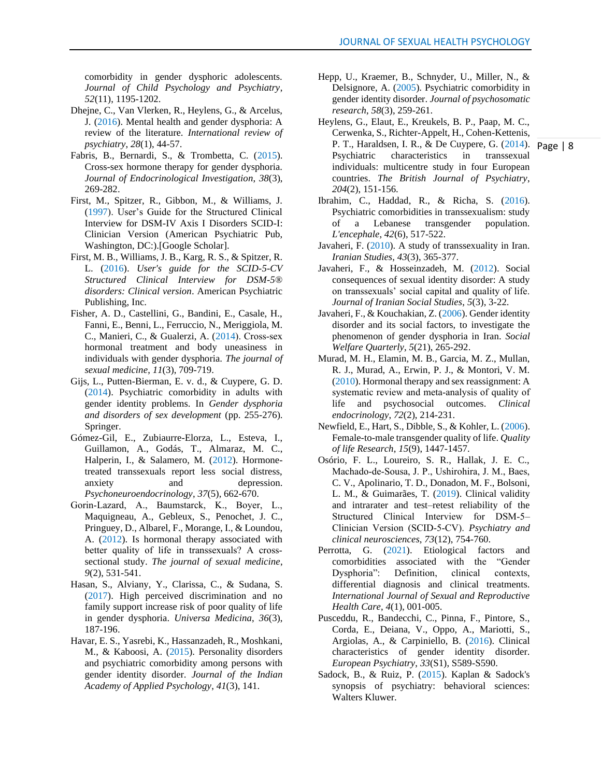comorbidity in gender dysphoric adolescents. *Journal of Child Psychology and Psychiatry*, *52*(11), 1195-1202.

- Dhejne, C., Van Vlerken, R., Heylens, G., & Arcelus, J. (2016). Mental health and gender dysphoria: A review of the literature. *International review of psychiatry*, *28*(1), 44-57.
- Fabris, B., Bernardi, S., & Trombetta, C. (2015). Cross-sex hormone therapy for gender dysphoria. *Journal of Endocrinological Investigation*, *38*(3), 269-282.
- First, M., Spitzer, R., Gibbon, M., & Williams, J. (1997). User's Guide for the Structured Clinical Interview for DSM-IV Axis I Disorders SCID-I: Clinician Version (American Psychiatric Pub, Washington, DC:).[Google Scholar].
- First, M. B., Williams, J. B., Karg, R. S., & Spitzer, R. L. (2016). *User's guide for the SCID-5-CV Structured Clinical Interview for DSM-5® disorders: Clinical version*. American Psychiatric Publishing, Inc.
- Fisher, A. D., Castellini, G., Bandini, E., Casale, H., Fanni, E., Benni, L., Ferruccio, N., Meriggiola, M. C., Manieri, C., & Gualerzi, A. (2014). Cross‐sex hormonal treatment and body uneasiness in individuals with gender dysphoria. *The journal of sexual medicine*, *11*(3), 709-719.
- Gijs, L., Putten-Bierman, E. v. d., & Cuypere, G. D. (2014). Psychiatric comorbidity in adults with gender identity problems. In *Gender dysphoria and disorders of sex development* (pp. 255-276). Springer.
- Gómez-Gil, E., Zubiaurre-Elorza, L., Esteva, I., Guillamon, A., Godás, T., Almaraz, M. C., Halperin, I., & Salamero, M. (2012). Hormonetreated transsexuals report less social distress, anxiety and depression. *Psychoneuroendocrinology*, *37*(5), 662-670.
- Gorin‐Lazard, A., Baumstarck, K., Boyer, L., Maquigneau, A., Gebleux, S., Penochet, J. C., Pringuey, D., Albarel, F., Morange, I., & Loundou, A. (2012). Is hormonal therapy associated with better quality of life in transsexuals? A crosssectional study. *The journal of sexual medicine*, *9*(2), 531-541.
- Hasan, S., Alviany, Y., Clarissa, C., & Sudana, S. (2017). High perceived discrimination and no family support increase risk of poor quality of life in gender dysphoria. *Universa Medicina*, *36*(3), 187-196.
- Havar, E. S., Yasrebi, K., Hassanzadeh, R., Moshkani, M., & Kaboosi, A. (2015). Personality disorders and psychiatric comorbidity among persons with gender identity disorder. *Journal of the Indian Academy of Applied Psychology*, *41*(3), 141.
- Hepp, U., Kraemer, B., Schnyder, U., Miller, N., & Delsignore, A. (2005). Psychiatric comorbidity in gender identity disorder. *Journal of psychosomatic research*, *58*(3), 259-261.
- P. T., Haraldsen, I. R., & De Cuypere, G. (2014). Page | 8 Heylens, G., Elaut, E., Kreukels, B. P., Paap, M. C., Cerwenka, S., Richter-Appelt, H., Cohen-Kettenis, Psychiatric characteristics in transsexual individuals: multicentre study in four European countries. *The British Journal of Psychiatry*, *204*(2), 151-156.
- Ibrahim, C., Haddad, R., & Richa, S. (2016). Psychiatric comorbidities in transsexualism: study of a Lebanese transgender population. *L'encephale*, *42*(6), 517-522.
- Javaheri, F. (2010). A study of transsexuality in Iran. *Iranian Studies*, *43*(3), 365-377.
- Javaheri, F., & Hosseinzadeh, M. (2012). Social consequences of sexual identity disorder: A study on transsexuals' social capital and quality of life. *Journal of Iranian Social Studies*, *5*(3), 3-22.
- Javaheri, F., & Kouchakian, Z. (2006). Gender identity disorder and its social factors, to investigate the phenomenon of gender dysphoria in Iran. *Social Welfare Quarterly*, *5*(21), 265-292.
- Murad, M. H., Elamin, M. B., Garcia, M. Z., Mullan, R. J., Murad, A., Erwin, P. J., & Montori, V. M. (2010). Hormonal therapy and sex reassignment: A systematic review and meta‐analysis of quality of life and psychosocial outcomes. *Clinical endocrinology*, *72*(2), 214-231.
- Newfield, E., Hart, S., Dibble, S., & Kohler, L. (2006). Female-to-male transgender quality of life. *Quality of life Research*, *15*(9), 1447-1457.
- Osório, F. L., Loureiro, S. R., Hallak, J. E. C., Machado‐de‐Sousa, J. P., Ushirohira, J. M., Baes, C. V., Apolinario, T. D., Donadon, M. F., Bolsoni, L. M., & Guimarães, T. (2019). Clinical validity and intrarater and test–retest reliability of the Structured Clinical Interview for DSM‐5– Clinician Version (SCID‐5‐CV). *Psychiatry and clinical neurosciences*, *73*(12), 754-760.
- Perrotta, G. (2021). Etiological factors and comorbidities associated with the "Gender Dysphoria": Definition, clinical contexts, differential diagnosis and clinical treatments. *International Journal of Sexual and Reproductive Health Care*, *4*(1), 001-005.
- Pusceddu, R., Bandecchi, C., Pinna, F., Pintore, S., Corda, E., Deiana, V., Oppo, A., Mariotti, S., Argiolas, A., & Carpiniello, B. (2016). Clinical characteristics of gender identity disorder. *European Psychiatry*, *33*(S1), S589-S590.
- Sadock, B., & Ruiz, P. (2015). Kaplan & Sadock's synopsis of psychiatry: behavioral sciences: Walters Kluwer.